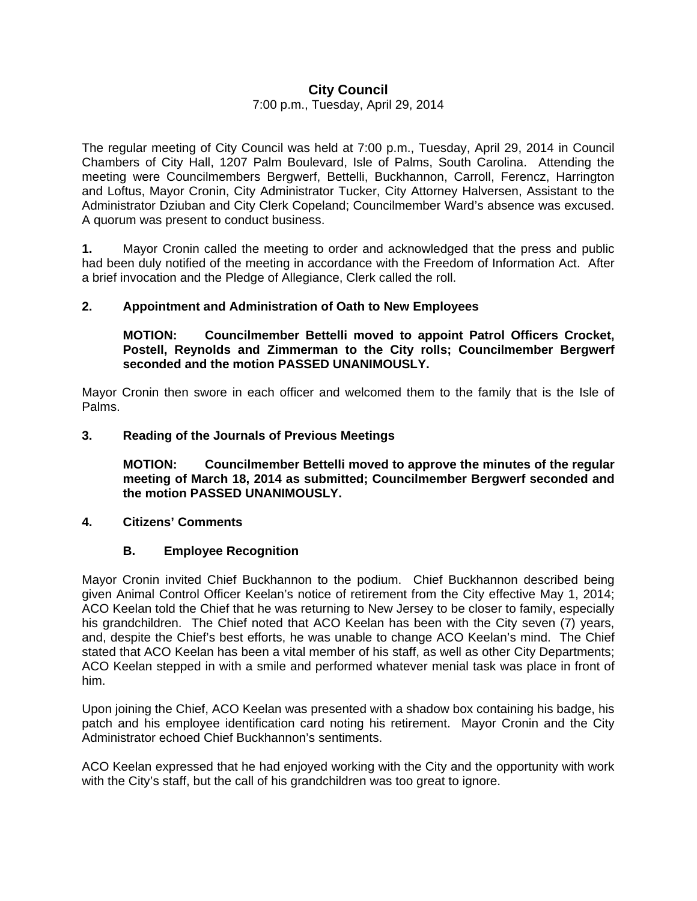# **City Council**

### 7:00 p.m., Tuesday, April 29, 2014

The regular meeting of City Council was held at 7:00 p.m., Tuesday, April 29, 2014 in Council Chambers of City Hall, 1207 Palm Boulevard, Isle of Palms, South Carolina. Attending the meeting were Councilmembers Bergwerf, Bettelli, Buckhannon, Carroll, Ferencz, Harrington and Loftus, Mayor Cronin, City Administrator Tucker, City Attorney Halversen, Assistant to the Administrator Dziuban and City Clerk Copeland; Councilmember Ward's absence was excused. A quorum was present to conduct business.

**1.** Mayor Cronin called the meeting to order and acknowledged that the press and public had been duly notified of the meeting in accordance with the Freedom of Information Act. After a brief invocation and the Pledge of Allegiance, Clerk called the roll.

### **2. Appointment and Administration of Oath to New Employees**

 **MOTION: Councilmember Bettelli moved to appoint Patrol Officers Crocket, Postell, Reynolds and Zimmerman to the City rolls; Councilmember Bergwerf seconded and the motion PASSED UNANIMOUSLY.** 

Mayor Cronin then swore in each officer and welcomed them to the family that is the Isle of Palms.

### **3. Reading of the Journals of Previous Meetings**

 **MOTION: Councilmember Bettelli moved to approve the minutes of the regular meeting of March 18, 2014 as submitted; Councilmember Bergwerf seconded and the motion PASSED UNANIMOUSLY.** 

#### **4. Citizens' Comments**

## **B. Employee Recognition**

Mayor Cronin invited Chief Buckhannon to the podium. Chief Buckhannon described being given Animal Control Officer Keelan's notice of retirement from the City effective May 1, 2014; ACO Keelan told the Chief that he was returning to New Jersey to be closer to family, especially his grandchildren. The Chief noted that ACO Keelan has been with the City seven (7) years, and, despite the Chief's best efforts, he was unable to change ACO Keelan's mind. The Chief stated that ACO Keelan has been a vital member of his staff, as well as other City Departments; ACO Keelan stepped in with a smile and performed whatever menial task was place in front of him.

Upon joining the Chief, ACO Keelan was presented with a shadow box containing his badge, his patch and his employee identification card noting his retirement. Mayor Cronin and the City Administrator echoed Chief Buckhannon's sentiments.

ACO Keelan expressed that he had enjoyed working with the City and the opportunity with work with the City's staff, but the call of his grandchildren was too great to ignore.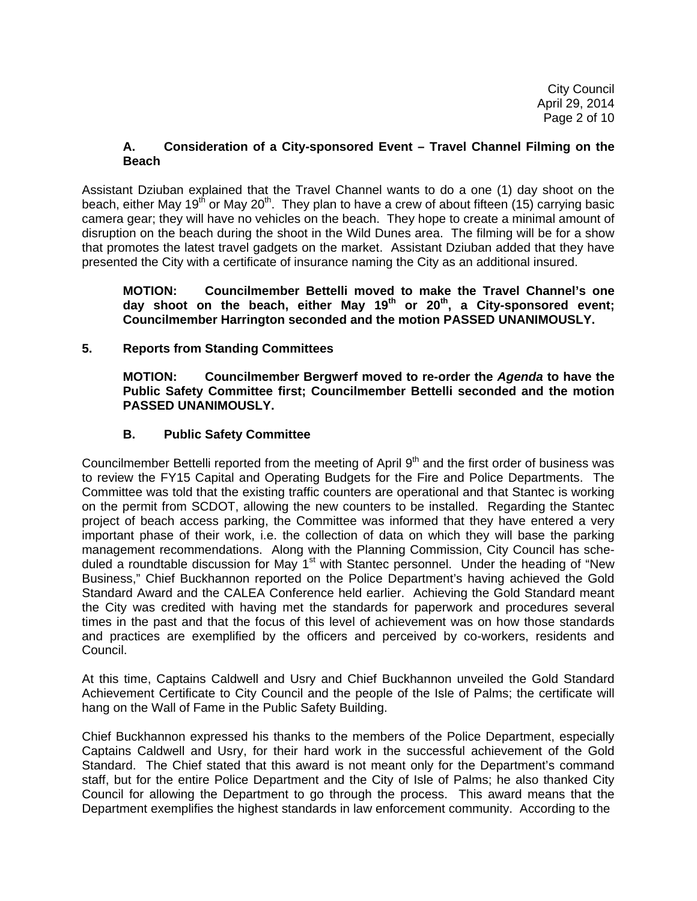City Council April 29, 2014 Page 2 of 10

### **A. Consideration of a City-sponsored Event – Travel Channel Filming on the Beach**

Assistant Dziuban explained that the Travel Channel wants to do a one (1) day shoot on the beach, either May 19<sup>th</sup> or May 20<sup>th</sup>. They plan to have a crew of about fifteen (15) carrying basic camera gear; they will have no vehicles on the beach. They hope to create a minimal amount of disruption on the beach during the shoot in the Wild Dunes area. The filming will be for a show that promotes the latest travel gadgets on the market. Assistant Dziuban added that they have presented the City with a certificate of insurance naming the City as an additional insured.

**MOTION: Councilmember Bettelli moved to make the Travel Channel's one day shoot on the beach, either May 19th or 20th, a City-sponsored event; Councilmember Harrington seconded and the motion PASSED UNANIMOUSLY.** 

## **5. Reports from Standing Committees**

 **MOTION: Councilmember Bergwerf moved to re-order the** *Agenda* **to have the Public Safety Committee first; Councilmember Bettelli seconded and the motion PASSED UNANIMOUSLY.**

## **B. Public Safety Committee**

Councilmember Bettelli reported from the meeting of April  $9<sup>th</sup>$  and the first order of business was to review the FY15 Capital and Operating Budgets for the Fire and Police Departments. The Committee was told that the existing traffic counters are operational and that Stantec is working on the permit from SCDOT, allowing the new counters to be installed. Regarding the Stantec project of beach access parking, the Committee was informed that they have entered a very important phase of their work, i.e. the collection of data on which they will base the parking management recommendations. Along with the Planning Commission, City Council has scheduled a roundtable discussion for May 1<sup>st</sup> with Stantec personnel. Under the heading of "New Business," Chief Buckhannon reported on the Police Department's having achieved the Gold Standard Award and the CALEA Conference held earlier. Achieving the Gold Standard meant the City was credited with having met the standards for paperwork and procedures several times in the past and that the focus of this level of achievement was on how those standards and practices are exemplified by the officers and perceived by co-workers, residents and Council.

At this time, Captains Caldwell and Usry and Chief Buckhannon unveiled the Gold Standard Achievement Certificate to City Council and the people of the Isle of Palms; the certificate will hang on the Wall of Fame in the Public Safety Building.

Chief Buckhannon expressed his thanks to the members of the Police Department, especially Captains Caldwell and Usry, for their hard work in the successful achievement of the Gold Standard. The Chief stated that this award is not meant only for the Department's command staff, but for the entire Police Department and the City of Isle of Palms; he also thanked City Council for allowing the Department to go through the process. This award means that the Department exemplifies the highest standards in law enforcement community. According to the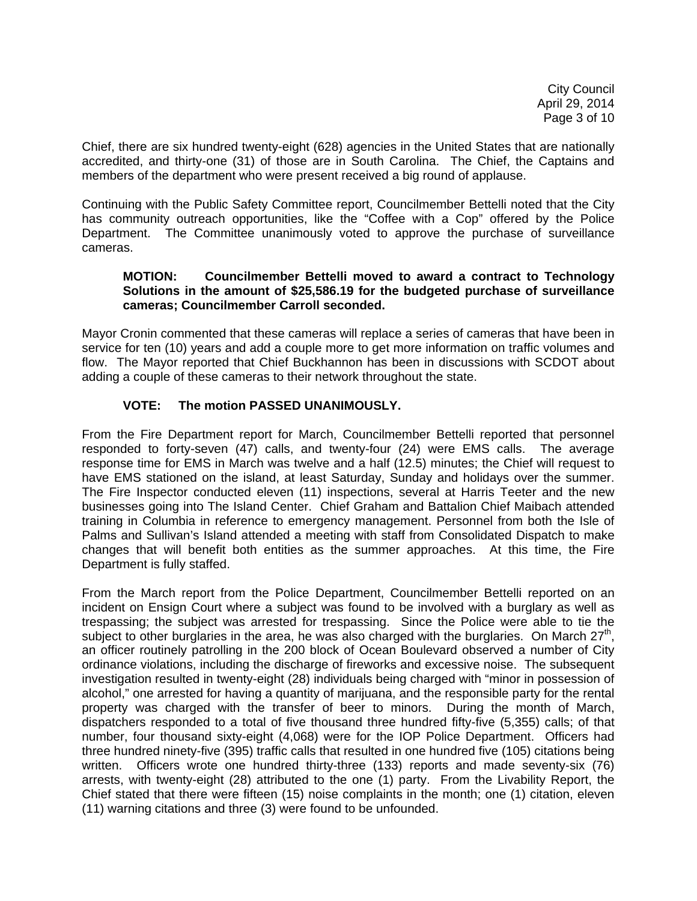City Council April 29, 2014 Page 3 of 10

Chief, there are six hundred twenty-eight (628) agencies in the United States that are nationally accredited, and thirty-one (31) of those are in South Carolina. The Chief, the Captains and members of the department who were present received a big round of applause.

Continuing with the Public Safety Committee report, Councilmember Bettelli noted that the City has community outreach opportunities, like the "Coffee with a Cop" offered by the Police Department. The Committee unanimously voted to approve the purchase of surveillance cameras.

### **MOTION: Councilmember Bettelli moved to award a contract to Technology Solutions in the amount of \$25,586.19 for the budgeted purchase of surveillance cameras; Councilmember Carroll seconded.**

Mayor Cronin commented that these cameras will replace a series of cameras that have been in service for ten (10) years and add a couple more to get more information on traffic volumes and flow. The Mayor reported that Chief Buckhannon has been in discussions with SCDOT about adding a couple of these cameras to their network throughout the state.

# **VOTE: The motion PASSED UNANIMOUSLY.**

From the Fire Department report for March, Councilmember Bettelli reported that personnel responded to forty-seven (47) calls, and twenty-four (24) were EMS calls. The average response time for EMS in March was twelve and a half (12.5) minutes; the Chief will request to have EMS stationed on the island, at least Saturday, Sunday and holidays over the summer. The Fire Inspector conducted eleven (11) inspections, several at Harris Teeter and the new businesses going into The Island Center. Chief Graham and Battalion Chief Maibach attended training in Columbia in reference to emergency management. Personnel from both the Isle of Palms and Sullivan's Island attended a meeting with staff from Consolidated Dispatch to make changes that will benefit both entities as the summer approaches. At this time, the Fire Department is fully staffed.

From the March report from the Police Department, Councilmember Bettelli reported on an incident on Ensign Court where a subject was found to be involved with a burglary as well as trespassing; the subject was arrested for trespassing. Since the Police were able to tie the subject to other burglaries in the area, he was also charged with the burglaries. On March  $27<sup>th</sup>$ , an officer routinely patrolling in the 200 block of Ocean Boulevard observed a number of City ordinance violations, including the discharge of fireworks and excessive noise. The subsequent investigation resulted in twenty-eight (28) individuals being charged with "minor in possession of alcohol," one arrested for having a quantity of marijuana, and the responsible party for the rental property was charged with the transfer of beer to minors. During the month of March, dispatchers responded to a total of five thousand three hundred fifty-five (5,355) calls; of that number, four thousand sixty-eight (4,068) were for the IOP Police Department. Officers had three hundred ninety-five (395) traffic calls that resulted in one hundred five (105) citations being written. Officers wrote one hundred thirty-three (133) reports and made seventy-six (76) arrests, with twenty-eight (28) attributed to the one (1) party. From the Livability Report, the Chief stated that there were fifteen (15) noise complaints in the month; one (1) citation, eleven (11) warning citations and three (3) were found to be unfounded.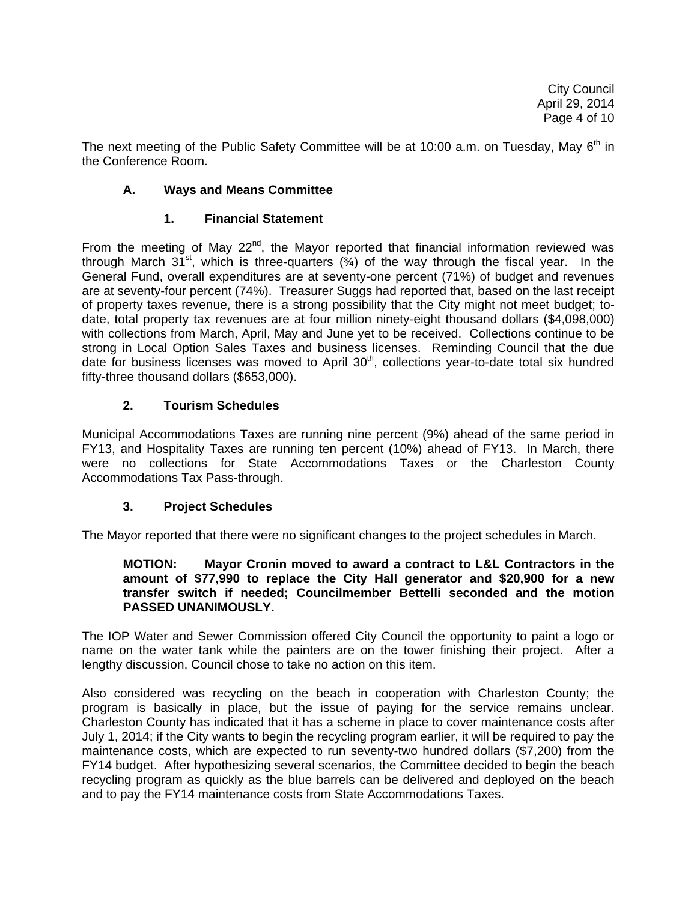The next meeting of the Public Safety Committee will be at 10:00 a.m. on Tuesday, Mav 6<sup>th</sup> in the Conference Room.

# **A. Ways and Means Committee**

## **1. Financial Statement**

From the meeting of May  $22^{nd}$ , the Mayor reported that financial information reviewed was through March  $31^{st}$ , which is three-quarters  $(3/4)$  of the way through the fiscal year. In the General Fund, overall expenditures are at seventy-one percent (71%) of budget and revenues are at seventy-four percent (74%). Treasurer Suggs had reported that, based on the last receipt of property taxes revenue, there is a strong possibility that the City might not meet budget; todate, total property tax revenues are at four million ninety-eight thousand dollars (\$4,098,000) with collections from March, April, May and June yet to be received. Collections continue to be strong in Local Option Sales Taxes and business licenses. Reminding Council that the due date for business licenses was moved to April 30<sup>th</sup>, collections year-to-date total six hundred fifty-three thousand dollars (\$653,000).

## **2. Tourism Schedules**

Municipal Accommodations Taxes are running nine percent (9%) ahead of the same period in FY13, and Hospitality Taxes are running ten percent (10%) ahead of FY13. In March, there were no collections for State Accommodations Taxes or the Charleston County Accommodations Tax Pass-through.

## **3. Project Schedules**

The Mayor reported that there were no significant changes to the project schedules in March.

### **MOTION: Mayor Cronin moved to award a contract to L&L Contractors in the amount of \$77,990 to replace the City Hall generator and \$20,900 for a new transfer switch if needed; Councilmember Bettelli seconded and the motion PASSED UNANIMOUSLY.**

The IOP Water and Sewer Commission offered City Council the opportunity to paint a logo or name on the water tank while the painters are on the tower finishing their project. After a lengthy discussion, Council chose to take no action on this item.

Also considered was recycling on the beach in cooperation with Charleston County; the program is basically in place, but the issue of paying for the service remains unclear. Charleston County has indicated that it has a scheme in place to cover maintenance costs after July 1, 2014; if the City wants to begin the recycling program earlier, it will be required to pay the maintenance costs, which are expected to run seventy-two hundred dollars (\$7,200) from the FY14 budget. After hypothesizing several scenarios, the Committee decided to begin the beach recycling program as quickly as the blue barrels can be delivered and deployed on the beach and to pay the FY14 maintenance costs from State Accommodations Taxes.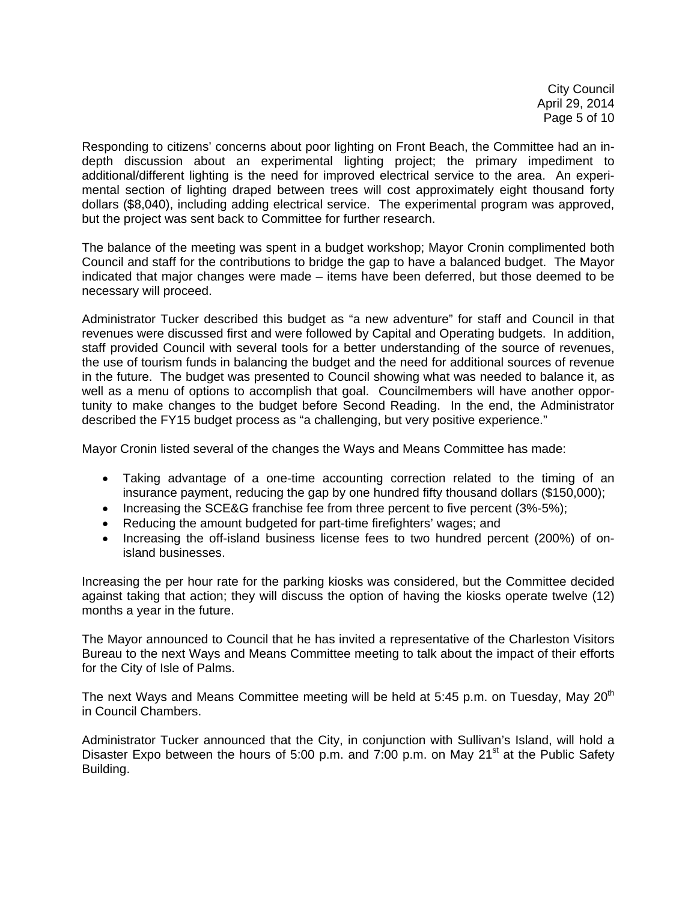City Council April 29, 2014 Page 5 of 10

Responding to citizens' concerns about poor lighting on Front Beach, the Committee had an indepth discussion about an experimental lighting project; the primary impediment to additional/different lighting is the need for improved electrical service to the area. An experimental section of lighting draped between trees will cost approximately eight thousand forty dollars (\$8,040), including adding electrical service. The experimental program was approved, but the project was sent back to Committee for further research.

The balance of the meeting was spent in a budget workshop; Mayor Cronin complimented both Council and staff for the contributions to bridge the gap to have a balanced budget. The Mayor indicated that major changes were made – items have been deferred, but those deemed to be necessary will proceed.

Administrator Tucker described this budget as "a new adventure" for staff and Council in that revenues were discussed first and were followed by Capital and Operating budgets. In addition, staff provided Council with several tools for a better understanding of the source of revenues, the use of tourism funds in balancing the budget and the need for additional sources of revenue in the future. The budget was presented to Council showing what was needed to balance it, as well as a menu of options to accomplish that goal. Councilmembers will have another opportunity to make changes to the budget before Second Reading. In the end, the Administrator described the FY15 budget process as "a challenging, but very positive experience."

Mayor Cronin listed several of the changes the Ways and Means Committee has made:

- Taking advantage of a one-time accounting correction related to the timing of an insurance payment, reducing the gap by one hundred fifty thousand dollars (\$150,000);
- Increasing the SCE&G franchise fee from three percent to five percent (3%-5%);
- Reducing the amount budgeted for part-time firefighters' wages; and
- Increasing the off-island business license fees to two hundred percent (200%) of onisland businesses.

Increasing the per hour rate for the parking kiosks was considered, but the Committee decided against taking that action; they will discuss the option of having the kiosks operate twelve (12) months a year in the future.

The Mayor announced to Council that he has invited a representative of the Charleston Visitors Bureau to the next Ways and Means Committee meeting to talk about the impact of their efforts for the City of Isle of Palms.

The next Ways and Means Committee meeting will be held at 5:45 p.m. on Tuesday, May 20<sup>th</sup> in Council Chambers.

Administrator Tucker announced that the City, in conjunction with Sullivan's Island, will hold a Disaster Expo between the hours of 5:00 p.m. and 7:00 p.m. on May 21<sup>st</sup> at the Public Safety Building.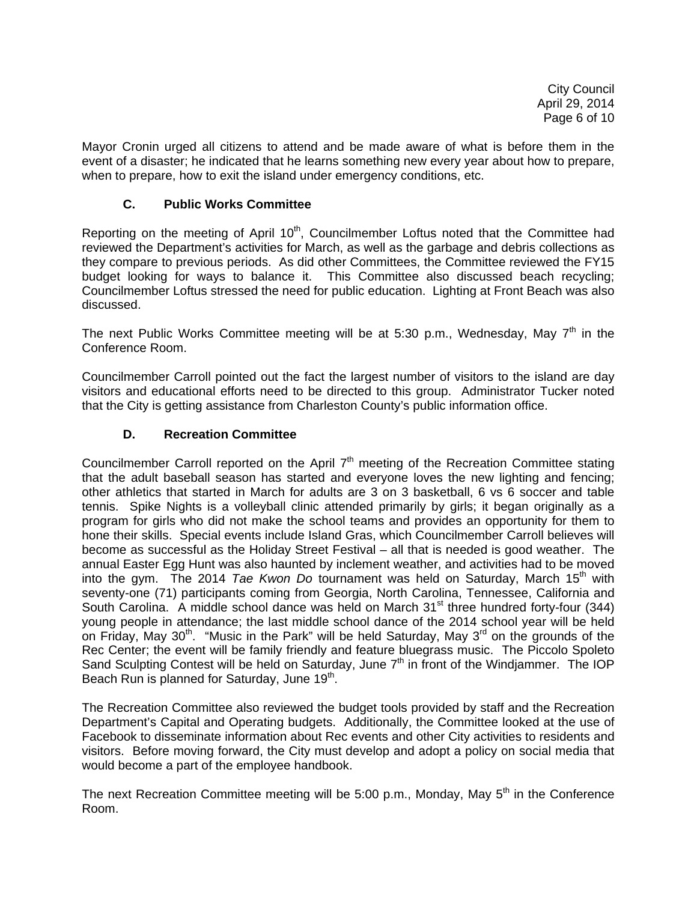Mayor Cronin urged all citizens to attend and be made aware of what is before them in the event of a disaster; he indicated that he learns something new every year about how to prepare, when to prepare, how to exit the island under emergency conditions, etc.

# **C. Public Works Committee**

Reporting on the meeting of April 10<sup>th</sup>, Councilmember Loftus noted that the Committee had reviewed the Department's activities for March, as well as the garbage and debris collections as they compare to previous periods. As did other Committees, the Committee reviewed the FY15 budget looking for ways to balance it. This Committee also discussed beach recycling; Councilmember Loftus stressed the need for public education. Lighting at Front Beach was also discussed.

The next Public Works Committee meeting will be at 5:30 p.m., Wednesday, May  $7<sup>th</sup>$  in the Conference Room.

Councilmember Carroll pointed out the fact the largest number of visitors to the island are day visitors and educational efforts need to be directed to this group. Administrator Tucker noted that the City is getting assistance from Charleston County's public information office.

# **D. Recreation Committee**

Councilmember Carroll reported on the April  $7<sup>th</sup>$  meeting of the Recreation Committee stating that the adult baseball season has started and everyone loves the new lighting and fencing; other athletics that started in March for adults are 3 on 3 basketball, 6 vs 6 soccer and table tennis. Spike Nights is a volleyball clinic attended primarily by girls; it began originally as a program for girls who did not make the school teams and provides an opportunity for them to hone their skills. Special events include Island Gras, which Councilmember Carroll believes will become as successful as the Holiday Street Festival – all that is needed is good weather. The annual Easter Egg Hunt was also haunted by inclement weather, and activities had to be moved into the gym. The 2014 *Tae Kwon Do* tournament was held on Saturday, March 15<sup>th</sup> with seventy-one (71) participants coming from Georgia, North Carolina, Tennessee, California and South Carolina. A middle school dance was held on March  $31<sup>st</sup>$  three hundred forty-four (344) young people in attendance; the last middle school dance of the 2014 school year will be held on Friday, May 30<sup>th</sup>. "Music in the Park" will be held Saturday, May 3<sup>rd</sup> on the grounds of the Rec Center; the event will be family friendly and feature bluegrass music. The Piccolo Spoleto Sand Sculpting Contest will be held on Saturday, June  $7<sup>th</sup>$  in front of the Windjammer. The IOP Beach Run is planned for Saturday, June 19<sup>th</sup>.

The Recreation Committee also reviewed the budget tools provided by staff and the Recreation Department's Capital and Operating budgets. Additionally, the Committee looked at the use of Facebook to disseminate information about Rec events and other City activities to residents and visitors. Before moving forward, the City must develop and adopt a policy on social media that would become a part of the employee handbook.

The next Recreation Committee meeting will be 5:00 p.m., Monday, May  $5<sup>th</sup>$  in the Conference Room.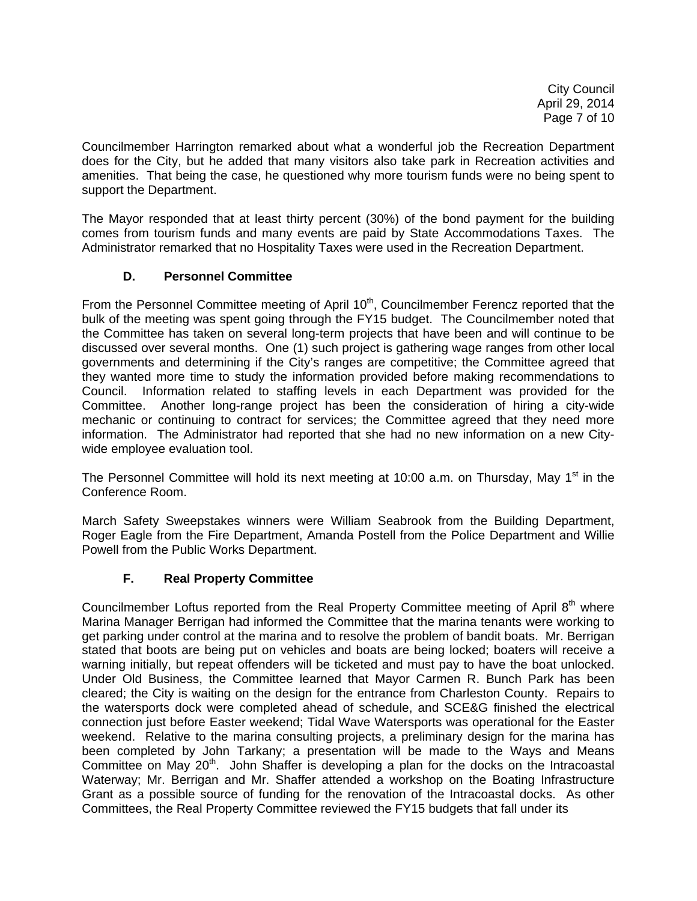City Council April 29, 2014 Page 7 of 10

Councilmember Harrington remarked about what a wonderful job the Recreation Department does for the City, but he added that many visitors also take park in Recreation activities and amenities. That being the case, he questioned why more tourism funds were no being spent to support the Department.

The Mayor responded that at least thirty percent (30%) of the bond payment for the building comes from tourism funds and many events are paid by State Accommodations Taxes. The Administrator remarked that no Hospitality Taxes were used in the Recreation Department.

## **D. Personnel Committee**

From the Personnel Committee meeting of April 10<sup>th</sup>, Councilmember Ferencz reported that the bulk of the meeting was spent going through the FY15 budget. The Councilmember noted that the Committee has taken on several long-term projects that have been and will continue to be discussed over several months. One (1) such project is gathering wage ranges from other local governments and determining if the City's ranges are competitive; the Committee agreed that they wanted more time to study the information provided before making recommendations to Council. Information related to staffing levels in each Department was provided for the Committee. Another long-range project has been the consideration of hiring a city-wide mechanic or continuing to contract for services; the Committee agreed that they need more information. The Administrator had reported that she had no new information on a new Citywide employee evaluation tool.

The Personnel Committee will hold its next meeting at 10:00 a.m. on Thursday, May 1<sup>st</sup> in the Conference Room.

March Safety Sweepstakes winners were William Seabrook from the Building Department, Roger Eagle from the Fire Department, Amanda Postell from the Police Department and Willie Powell from the Public Works Department.

## **F. Real Property Committee**

Councilmember Loftus reported from the Real Property Committee meeting of April 8<sup>th</sup> where Marina Manager Berrigan had informed the Committee that the marina tenants were working to get parking under control at the marina and to resolve the problem of bandit boats. Mr. Berrigan stated that boots are being put on vehicles and boats are being locked; boaters will receive a warning initially, but repeat offenders will be ticketed and must pay to have the boat unlocked. Under Old Business, the Committee learned that Mayor Carmen R. Bunch Park has been cleared; the City is waiting on the design for the entrance from Charleston County. Repairs to the watersports dock were completed ahead of schedule, and SCE&G finished the electrical connection just before Easter weekend; Tidal Wave Watersports was operational for the Easter weekend. Relative to the marina consulting projects, a preliminary design for the marina has been completed by John Tarkany; a presentation will be made to the Ways and Means Committee on May  $20<sup>th</sup>$ . John Shaffer is developing a plan for the docks on the Intracoastal Waterway; Mr. Berrigan and Mr. Shaffer attended a workshop on the Boating Infrastructure Grant as a possible source of funding for the renovation of the Intracoastal docks. As other Committees, the Real Property Committee reviewed the FY15 budgets that fall under its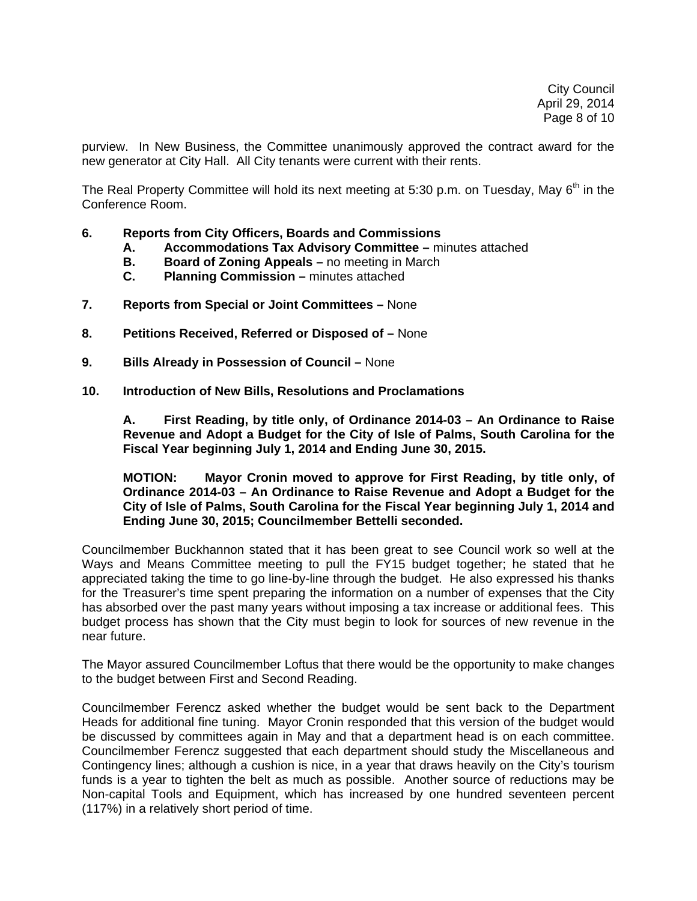purview. In New Business, the Committee unanimously approved the contract award for the new generator at City Hall. All City tenants were current with their rents.

The Real Property Committee will hold its next meeting at 5:30 p.m. on Tuesday, May  $6<sup>th</sup>$  in the Conference Room.

- **6. Reports from City Officers, Boards and Commissions** 
	- **A. Accommodations Tax Advisory Committee** minutes attached
	- **B. Board of Zoning Appeals** no meeting in March
	- **C. Planning Commission** minutes attached
- **7. Reports from Special or Joint Committees** None
- **8. Petitions Received, Referred or Disposed of** None
- **9. Bills Already in Possession of Council** None
- **10. Introduction of New Bills, Resolutions and Proclamations**

 **A. First Reading, by title only, of Ordinance 2014-03 – An Ordinance to Raise Revenue and Adopt a Budget for the City of Isle of Palms, South Carolina for the Fiscal Year beginning July 1, 2014 and Ending June 30, 2015.** 

 **MOTION: Mayor Cronin moved to approve for First Reading, by title only, of Ordinance 2014-03 – An Ordinance to Raise Revenue and Adopt a Budget for the City of Isle of Palms, South Carolina for the Fiscal Year beginning July 1, 2014 and Ending June 30, 2015; Councilmember Bettelli seconded.** 

Councilmember Buckhannon stated that it has been great to see Council work so well at the Ways and Means Committee meeting to pull the FY15 budget together; he stated that he appreciated taking the time to go line-by-line through the budget. He also expressed his thanks for the Treasurer's time spent preparing the information on a number of expenses that the City has absorbed over the past many years without imposing a tax increase or additional fees. This budget process has shown that the City must begin to look for sources of new revenue in the near future.

The Mayor assured Councilmember Loftus that there would be the opportunity to make changes to the budget between First and Second Reading.

Councilmember Ferencz asked whether the budget would be sent back to the Department Heads for additional fine tuning. Mayor Cronin responded that this version of the budget would be discussed by committees again in May and that a department head is on each committee. Councilmember Ferencz suggested that each department should study the Miscellaneous and Contingency lines; although a cushion is nice, in a year that draws heavily on the City's tourism funds is a year to tighten the belt as much as possible. Another source of reductions may be Non-capital Tools and Equipment, which has increased by one hundred seventeen percent (117%) in a relatively short period of time.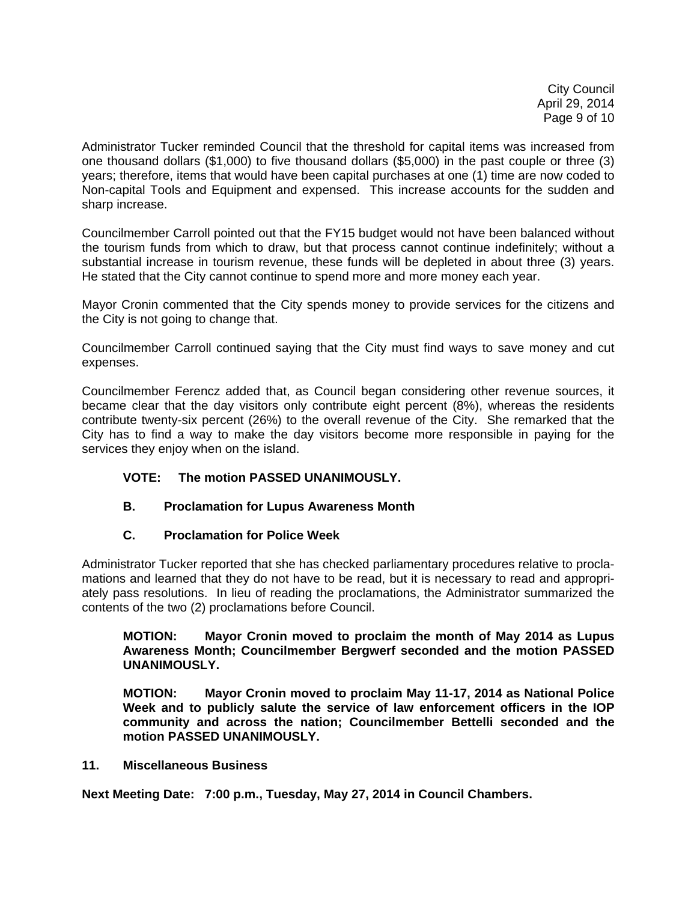City Council April 29, 2014 Page 9 of 10

Administrator Tucker reminded Council that the threshold for capital items was increased from one thousand dollars (\$1,000) to five thousand dollars (\$5,000) in the past couple or three (3) years; therefore, items that would have been capital purchases at one (1) time are now coded to Non-capital Tools and Equipment and expensed. This increase accounts for the sudden and sharp increase.

Councilmember Carroll pointed out that the FY15 budget would not have been balanced without the tourism funds from which to draw, but that process cannot continue indefinitely; without a substantial increase in tourism revenue, these funds will be depleted in about three (3) years. He stated that the City cannot continue to spend more and more money each year.

Mayor Cronin commented that the City spends money to provide services for the citizens and the City is not going to change that.

Councilmember Carroll continued saying that the City must find ways to save money and cut expenses.

Councilmember Ferencz added that, as Council began considering other revenue sources, it became clear that the day visitors only contribute eight percent (8%), whereas the residents contribute twenty-six percent (26%) to the overall revenue of the City. She remarked that the City has to find a way to make the day visitors become more responsible in paying for the services they enjoy when on the island.

# **VOTE: The motion PASSED UNANIMOUSLY.**

# **B. Proclamation for Lupus Awareness Month**

# **C. Proclamation for Police Week**

Administrator Tucker reported that she has checked parliamentary procedures relative to proclamations and learned that they do not have to be read, but it is necessary to read and appropriately pass resolutions. In lieu of reading the proclamations, the Administrator summarized the contents of the two (2) proclamations before Council.

### **MOTION: Mayor Cronin moved to proclaim the month of May 2014 as Lupus Awareness Month; Councilmember Bergwerf seconded and the motion PASSED UNANIMOUSLY.**

 **MOTION: Mayor Cronin moved to proclaim May 11-17, 2014 as National Police Week and to publicly salute the service of law enforcement officers in the IOP community and across the nation; Councilmember Bettelli seconded and the motion PASSED UNANIMOUSLY.** 

## **11. Miscellaneous Business**

**Next Meeting Date: 7:00 p.m., Tuesday, May 27, 2014 in Council Chambers.**